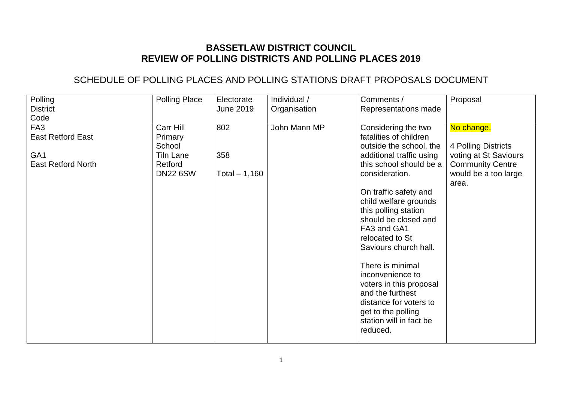## **BASSETLAW DISTRICT COUNCIL REVIEW OF POLLING DISTRICTS AND POLLING PLACES 2019**

## SCHEDULE OF POLLING PLACES AND POLLING STATIONS DRAFT PROPOSALS DOCUMENT

| Polling                                                                                     | <b>Polling Place</b>                                                             | Electorate                   | Individual / | Comments /                                                                                                                                                                                                                                                                                                                                                                                                                                                                                   | Proposal                                                                                                               |
|---------------------------------------------------------------------------------------------|----------------------------------------------------------------------------------|------------------------------|--------------|----------------------------------------------------------------------------------------------------------------------------------------------------------------------------------------------------------------------------------------------------------------------------------------------------------------------------------------------------------------------------------------------------------------------------------------------------------------------------------------------|------------------------------------------------------------------------------------------------------------------------|
| <b>District</b><br>Code                                                                     |                                                                                  | <b>June 2019</b>             | Organisation | Representations made                                                                                                                                                                                                                                                                                                                                                                                                                                                                         |                                                                                                                        |
| FA <sub>3</sub><br><b>East Retford East</b><br>GA <sub>1</sub><br><b>East Retford North</b> | Carr Hill<br>Primary<br>School<br><b>Tiln Lane</b><br>Retford<br><b>DN22 6SW</b> | 802<br>358<br>Total $-1,160$ | John Mann MP | Considering the two<br>fatalities of children<br>outside the school, the<br>additional traffic using<br>this school should be a<br>consideration.<br>On traffic safety and<br>child welfare grounds<br>this polling station<br>should be closed and<br>FA3 and GA1<br>relocated to St<br>Saviours church hall.<br>There is minimal<br>inconvenience to<br>voters in this proposal<br>and the furthest<br>distance for voters to<br>get to the polling<br>station will in fact be<br>reduced. | No change.<br>4 Polling Districts<br>voting at St Saviours<br><b>Community Centre</b><br>would be a too large<br>area. |
|                                                                                             |                                                                                  |                              |              |                                                                                                                                                                                                                                                                                                                                                                                                                                                                                              |                                                                                                                        |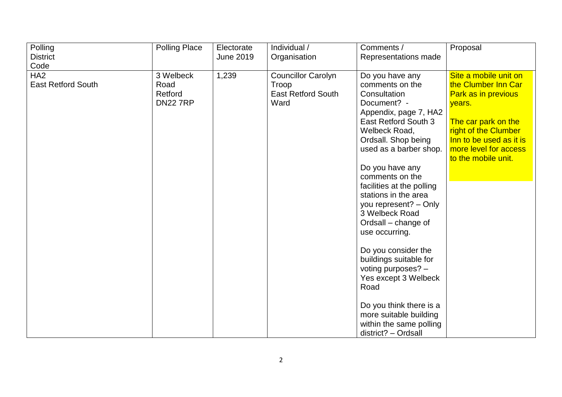| Polling<br><b>District</b>                   | <b>Polling Place</b>                            | Electorate<br>June 2019 | Individual /<br>Organisation                                            | Comments /<br>Representations made                                                                                                                                                                                                                                                                                                                                                                                                                                                                                                                                                | Proposal                                                                                                                                                                                                       |
|----------------------------------------------|-------------------------------------------------|-------------------------|-------------------------------------------------------------------------|-----------------------------------------------------------------------------------------------------------------------------------------------------------------------------------------------------------------------------------------------------------------------------------------------------------------------------------------------------------------------------------------------------------------------------------------------------------------------------------------------------------------------------------------------------------------------------------|----------------------------------------------------------------------------------------------------------------------------------------------------------------------------------------------------------------|
| Code                                         |                                                 |                         |                                                                         |                                                                                                                                                                                                                                                                                                                                                                                                                                                                                                                                                                                   |                                                                                                                                                                                                                |
| HA <sub>2</sub><br><b>East Retford South</b> | 3 Welbeck<br>Road<br>Retford<br><b>DN22 7RP</b> | 1,239                   | <b>Councillor Carolyn</b><br>Troop<br><b>East Retford South</b><br>Ward | Do you have any<br>comments on the<br>Consultation<br>Document? -<br>Appendix, page 7, HA2<br>East Retford South 3<br>Welbeck Road,<br>Ordsall. Shop being<br>used as a barber shop.<br>Do you have any<br>comments on the<br>facilities at the polling<br>stations in the area<br>you represent? - Only<br>3 Welbeck Road<br>Ordsall – change of<br>use occurring.<br>Do you consider the<br>buildings suitable for<br>voting purposes? -<br>Yes except 3 Welbeck<br>Road<br>Do you think there is a<br>more suitable building<br>within the same polling<br>district? - Ordsall | Site a mobile unit on<br>the Clumber Inn Car<br><b>Park as in previous</b><br>years.<br>The car park on the<br>right of the Clumber<br>Inn to be used as it is<br>more level for access<br>to the mobile unit. |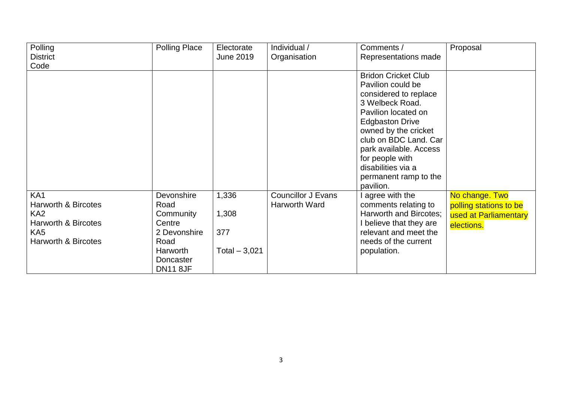| Polling                        | <b>Polling Place</b> | Electorate       | Individual /              | Comments /                 | Proposal               |
|--------------------------------|----------------------|------------------|---------------------------|----------------------------|------------------------|
| <b>District</b>                |                      | <b>June 2019</b> | Organisation              | Representations made       |                        |
| Code                           |                      |                  |                           |                            |                        |
|                                |                      |                  |                           | <b>Bridon Cricket Club</b> |                        |
|                                |                      |                  |                           | Pavilion could be          |                        |
|                                |                      |                  |                           | considered to replace      |                        |
|                                |                      |                  |                           | 3 Welbeck Road.            |                        |
|                                |                      |                  |                           | Pavilion located on        |                        |
|                                |                      |                  |                           | <b>Edgbaston Drive</b>     |                        |
|                                |                      |                  |                           | owned by the cricket       |                        |
|                                |                      |                  |                           | club on BDC Land. Car      |                        |
|                                |                      |                  |                           | park available. Access     |                        |
|                                |                      |                  |                           | for people with            |                        |
|                                |                      |                  |                           | disabilities via a         |                        |
|                                |                      |                  |                           | permanent ramp to the      |                        |
|                                |                      |                  |                           | pavilion.                  |                        |
| KA <sub>1</sub>                | Devonshire           | 1,336            | <b>Councillor J Evans</b> | agree with the             | No change. Two         |
| <b>Harworth &amp; Bircotes</b> | Road                 |                  | Harworth Ward             | comments relating to       | polling stations to be |
| KA <sub>2</sub>                | Community            | 1,308            |                           | Harworth and Bircotes;     | used at Parliamentary  |
| Harworth & Bircotes            | Centre               |                  |                           | I believe that they are    | elections.             |
| KA <sub>5</sub>                | 2 Devonshire         | 377              |                           | relevant and meet the      |                        |
| <b>Harworth &amp; Bircotes</b> | Road                 |                  |                           | needs of the current       |                        |
|                                | Harworth             | Total $-3,021$   |                           | population.                |                        |
|                                | Doncaster            |                  |                           |                            |                        |
|                                | <b>DN11 8JF</b>      |                  |                           |                            |                        |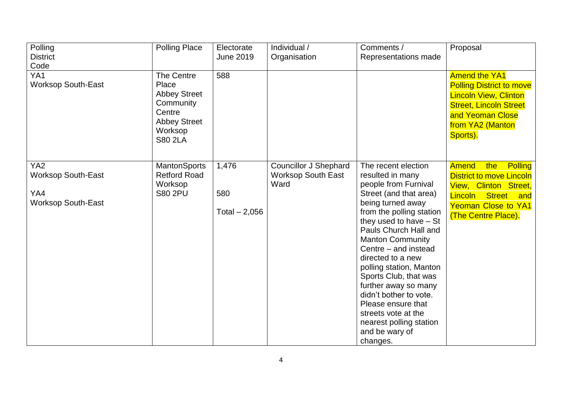| Polling<br><b>District</b><br>Code                                               | <b>Polling Place</b>                                                                                                  | Electorate<br>June 2019        | Individual /<br>Organisation                                      | Comments /<br>Representations made                                                                                                                                                                                                                                                                                                                                                                                                                                                  | Proposal                                                                                                                                                                                         |
|----------------------------------------------------------------------------------|-----------------------------------------------------------------------------------------------------------------------|--------------------------------|-------------------------------------------------------------------|-------------------------------------------------------------------------------------------------------------------------------------------------------------------------------------------------------------------------------------------------------------------------------------------------------------------------------------------------------------------------------------------------------------------------------------------------------------------------------------|--------------------------------------------------------------------------------------------------------------------------------------------------------------------------------------------------|
| YA1<br><b>Worksop South-East</b>                                                 | The Centre<br>Place<br><b>Abbey Street</b><br>Community<br>Centre<br><b>Abbey Street</b><br>Worksop<br><b>S80 2LA</b> | 588                            |                                                                   |                                                                                                                                                                                                                                                                                                                                                                                                                                                                                     | <b>Amend the YA1</b><br><b>Polling District to move</b><br><b>Lincoln View, Clinton</b><br><b>Street, Lincoln Street</b><br>and Yeoman Close<br>from YA2 (Manton<br>Sports).                     |
| YA <sub>2</sub><br><b>Worksop South-East</b><br>YA4<br><b>Worksop South-East</b> | <b>MantonSports</b><br><b>Retford Road</b><br>Worksop<br><b>S80 2PU</b>                                               | 1,476<br>580<br>Total $-2,056$ | <b>Councillor J Shephard</b><br><b>Worksop South East</b><br>Ward | The recent election<br>resulted in many<br>people from Furnival<br>Street (and that area)<br>being turned away<br>from the polling station<br>they used to have $-$ St<br>Pauls Church Hall and<br><b>Manton Community</b><br>Centre - and instead<br>directed to a new<br>polling station, Manton<br>Sports Club, that was<br>further away so many<br>didn't bother to vote.<br>Please ensure that<br>streets vote at the<br>nearest polling station<br>and be wary of<br>changes. | <b>Amend</b><br>the<br><b>Polling</b><br><b>District to move Lincoln</b><br>View, Clinton Street,<br>Lincoln<br><b>Street</b><br>and<br><b>Yeoman Close to YA1</b><br><b>(The Centre Place).</b> |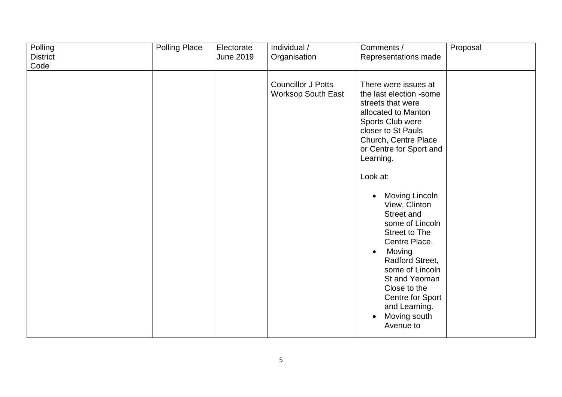| Polling                 | <b>Polling Place</b> | Electorate       | Individual /                                           | Comments /                                                                                                                                                                                                                                                           | Proposal |
|-------------------------|----------------------|------------------|--------------------------------------------------------|----------------------------------------------------------------------------------------------------------------------------------------------------------------------------------------------------------------------------------------------------------------------|----------|
| <b>District</b><br>Code |                      | <b>June 2019</b> | Organisation                                           | Representations made                                                                                                                                                                                                                                                 |          |
|                         |                      |                  |                                                        |                                                                                                                                                                                                                                                                      |          |
|                         |                      |                  | <b>Councillor J Potts</b><br><b>Worksop South East</b> | There were issues at<br>the last election -some<br>streets that were<br>allocated to Manton<br>Sports Club were<br>closer to St Pauls<br>Church, Centre Place<br>or Centre for Sport and<br>Learning.<br>Look at:<br>Moving Lincoln                                  |          |
|                         |                      |                  |                                                        | View, Clinton<br>Street and<br>some of Lincoln<br><b>Street to The</b><br>Centre Place.<br>Moving<br>$\bullet$<br>Radford Street,<br>some of Lincoln<br>St and Yeoman<br>Close to the<br>Centre for Sport<br>and Learning.<br>Moving south<br>$\bullet$<br>Avenue to |          |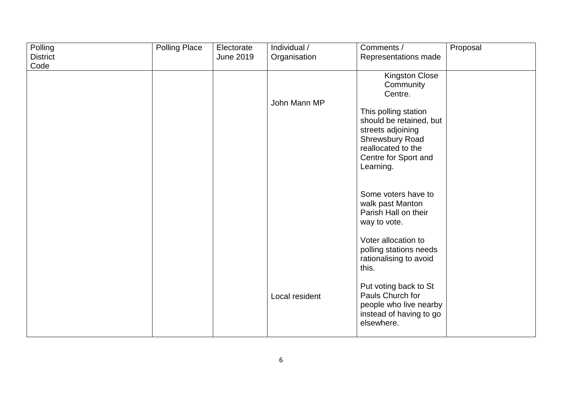| Polling         | <b>Polling Place</b> | Electorate       | Individual /   | Comments /              | Proposal |
|-----------------|----------------------|------------------|----------------|-------------------------|----------|
| <b>District</b> |                      | <b>June 2019</b> | Organisation   | Representations made    |          |
| Code            |                      |                  |                |                         |          |
|                 |                      |                  |                | Kingston Close          |          |
|                 |                      |                  |                | Community               |          |
|                 |                      |                  |                | Centre.                 |          |
|                 |                      |                  | John Mann MP   |                         |          |
|                 |                      |                  |                | This polling station    |          |
|                 |                      |                  |                | should be retained, but |          |
|                 |                      |                  |                | streets adjoining       |          |
|                 |                      |                  |                | Shrewsbury Road         |          |
|                 |                      |                  |                | reallocated to the      |          |
|                 |                      |                  |                | Centre for Sport and    |          |
|                 |                      |                  |                | Learning.               |          |
|                 |                      |                  |                |                         |          |
|                 |                      |                  |                |                         |          |
|                 |                      |                  |                | Some voters have to     |          |
|                 |                      |                  |                | walk past Manton        |          |
|                 |                      |                  |                | Parish Hall on their    |          |
|                 |                      |                  |                | way to vote.            |          |
|                 |                      |                  |                |                         |          |
|                 |                      |                  |                | Voter allocation to     |          |
|                 |                      |                  |                | polling stations needs  |          |
|                 |                      |                  |                | rationalising to avoid  |          |
|                 |                      |                  |                | this.                   |          |
|                 |                      |                  |                |                         |          |
|                 |                      |                  |                | Put voting back to St   |          |
|                 |                      |                  | Local resident | Pauls Church for        |          |
|                 |                      |                  |                | people who live nearby  |          |
|                 |                      |                  |                | instead of having to go |          |
|                 |                      |                  |                | elsewhere.              |          |
|                 |                      |                  |                |                         |          |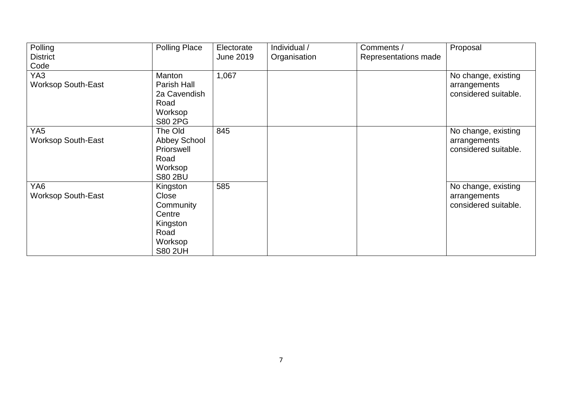| Polling                   | <b>Polling Place</b> | Electorate       | Individual / | Comments /           | Proposal             |
|---------------------------|----------------------|------------------|--------------|----------------------|----------------------|
| <b>District</b>           |                      | <b>June 2019</b> | Organisation | Representations made |                      |
| Code                      |                      |                  |              |                      |                      |
| YA3                       | Manton               | 1,067            |              |                      | No change, existing  |
| <b>Worksop South-East</b> | Parish Hall          |                  |              |                      | arrangements         |
|                           | 2a Cavendish         |                  |              |                      | considered suitable. |
|                           | Road                 |                  |              |                      |                      |
|                           | Worksop              |                  |              |                      |                      |
|                           | <b>S80 2PG</b>       |                  |              |                      |                      |
| YA <sub>5</sub>           | The Old              | 845              |              |                      | No change, existing  |
| <b>Worksop South-East</b> | Abbey School         |                  |              |                      | arrangements         |
|                           | Priorswell           |                  |              |                      | considered suitable. |
|                           | Road                 |                  |              |                      |                      |
|                           | Worksop              |                  |              |                      |                      |
|                           | <b>S80 2BU</b>       |                  |              |                      |                      |
| YA <sub>6</sub>           | Kingston             | 585              |              |                      | No change, existing  |
| <b>Worksop South-East</b> | Close                |                  |              |                      | arrangements         |
|                           | Community            |                  |              |                      | considered suitable. |
|                           | Centre               |                  |              |                      |                      |
|                           | Kingston             |                  |              |                      |                      |
|                           | Road                 |                  |              |                      |                      |
|                           | Worksop              |                  |              |                      |                      |
|                           | <b>S80 2UH</b>       |                  |              |                      |                      |